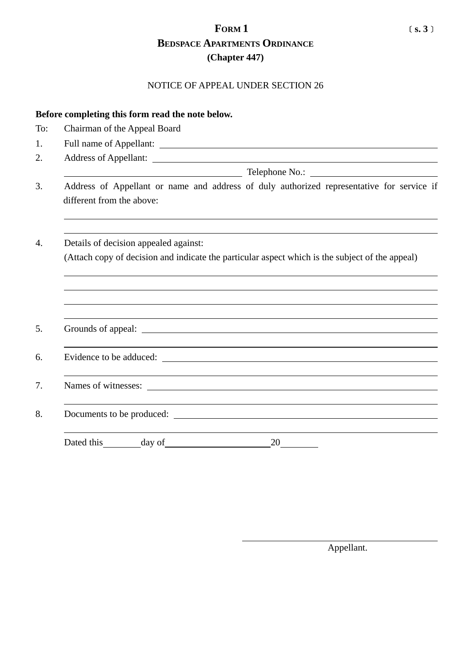## **FORM 1** ﹝**s. 3**﹞ **BEDSPACE APARTMENTS ORDINANCE (Chapter 447)**

## NOTICE OF APPEAL UNDER SECTION 26

| Before completing this form read the note below. |                                                                                                                                          |  |
|--------------------------------------------------|------------------------------------------------------------------------------------------------------------------------------------------|--|
| To:                                              | Chairman of the Appeal Board                                                                                                             |  |
| 1.                                               |                                                                                                                                          |  |
| 2.                                               |                                                                                                                                          |  |
|                                                  |                                                                                                                                          |  |
| 3.                                               | Address of Appellant or name and address of duly authorized representative for service if<br>different from the above:                   |  |
| $\overline{4}$ .                                 | Details of decision appealed against:<br>(Attach copy of decision and indicate the particular aspect which is the subject of the appeal) |  |
|                                                  |                                                                                                                                          |  |
| 5.                                               |                                                                                                                                          |  |
| 6.                                               |                                                                                                                                          |  |
| 7.                                               |                                                                                                                                          |  |
| 8.                                               |                                                                                                                                          |  |
|                                                  | 20<br>Dated this<br>day of                                                                                                               |  |

Appellant.